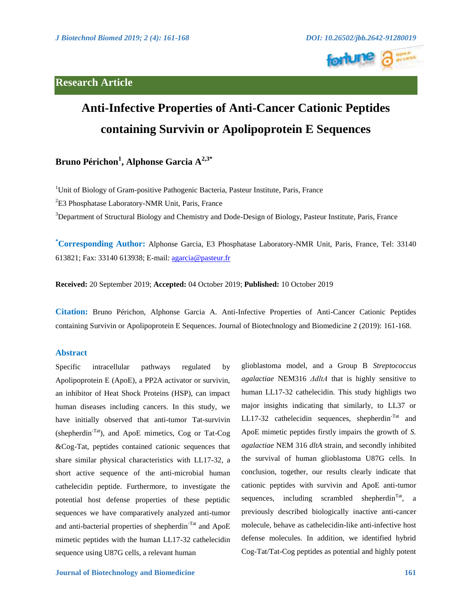# **Research Article**



# **Anti-Infective Properties of Anti-Cancer Cationic Peptides containing Survivin or Apolipoprotein E Sequences**

**Bruno Périchon<sup>1</sup> , Alphonse Garcia A2,3\***

<sup>1</sup>Unit of Biology of Gram-positive Pathogenic Bacteria, Pasteur Institute, Paris, France

<sup>2</sup>E3 Phosphatase Laboratory-NMR Unit, Paris, France

<sup>3</sup>Department of Structural Biology and Chemistry and Dode-Design of Biology, Pasteur Institute, Paris, France

**\* Corresponding Author:** Alphonse Garcia, E3 Phosphatase Laboratory-NMR Unit, Paris, France, Tel: 33140 613821; Fax: 33140 613938; E-mail:<agarcia@pasteur.fr>

**Received:** 20 September 2019; **Accepted:** 04 October 2019; **Published:** 10 October 2019

**Citation:** Bruno Périchon, Alphonse Garcia A. Anti-Infective Properties of Anti-Cancer Cationic Peptides containing Survivin or Apolipoprotein E Sequences. Journal of Biotechnology and Biomedicine 2 (2019): 161-168.

# **Abstract**

Specific intracellular pathways regulated by Apolipoprotein E (ApoE), a PP2A activator or survivin, an inhibitor of Heat Shock Proteins (HSP), can impact human diseases including cancers. In this study, we have initially observed that anti-tumor Tat-survivin (shepherdin-Tat), and ApoE mimetics, Cog or Tat-Cog &Cog-Tat, peptides contained cationic sequences that share similar physical characteristics with LL17-32, a short active sequence of the anti-microbial human cathelecidin peptide. Furthermore, to investigate the potential host defense properties of these peptidic sequences we have comparatively analyzed anti-tumor and anti-bacterial properties of shepherdin-Tat and ApoE mimetic peptides with the human LL17-32 cathelecidin sequence using U87G cells, a relevant human

glioblastoma model, and a Group B *Streptococcus agalactiae* NEM316 *ΔdltA* that is highly sensitive to human LL17-32 cathelecidin. This study highligts two major insights indicating that similarly, to LL37 or LL17-32 cathelecidin sequences, shepherdin<sup>-Tat</sup> and ApoE mimetic peptides firstly impairs the growth of *S. agalactiae* NEM 316 *dltA* strain, and secondly inhibited the survival of human glioblastoma U87G cells. In conclusion, together, our results clearly indicate that cationic peptides with survivin and ApoE anti-tumor sequences, including scrambled shepherdin<sup>Tat</sup>, a previously described biologically inactive anti-cancer molecule, behave as cathelecidin-like anti-infective host defense molecules. In addition, we identified hybrid Cog-Tat/Tat-Cog peptides as potential and highly potent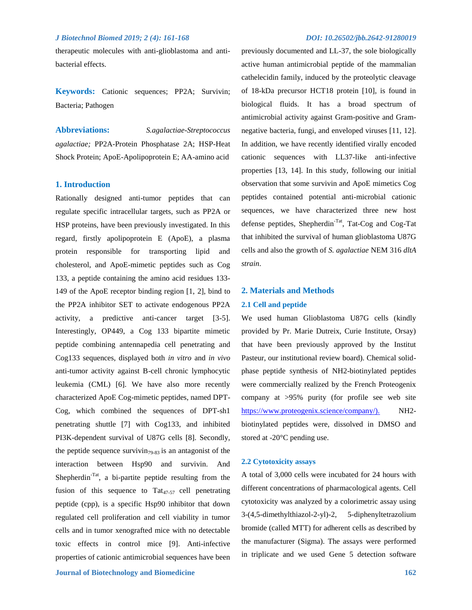therapeutic molecules with anti-glioblastoma and antibacterial effects.

**Keywords:** Cationic sequences; PP2A; Survivin; Bacteria; Pathogen

**Abbreviations:** *S.agalactiae-Streptococcus agalactiae;* PP2A-Protein Phosphatase 2A; HSP-Heat Shock Protein; ApoE-Apolipoprotein E; AA-amino acid

#### **1. Introduction**

Rationally designed anti-tumor peptides that can regulate specific intracellular targets, such as PP2A or HSP proteins, have been previously investigated. In this regard, firstly apolipoprotein E (ApoE), a plasma protein responsible for transporting lipid and cholesterol, and ApoE-mimetic peptides such as Cog 133, a peptide containing the amino acid residues 133- 149 of the ApoE receptor binding region [1, 2], bind to the PP2A inhibitor SET to activate endogenous PP2A activity, a predictive anti-cancer target [3-5]. Interestingly, OP449, a Cog 133 bipartite mimetic peptide combining antennapedia cell penetrating and Cog133 sequences, displayed both *in vitro* and *in vivo* anti-tumor activity against B-cell chronic lymphocytic leukemia (CML) [6]. We have also more recently characterized ApoE Cog-mimetic peptides, named DPT-Cog, which combined the sequences of DPT-sh1 penetrating shuttle [7] with Cog133, and inhibited PI3K-dependent survival of U87G cells [8]. Secondly, the peptide sequence survivin<sub>79-83</sub> is an antagonist of the interaction between Hsp90 and survivin. And Shepherdin<sup>-Tat</sup>, a bi-partite peptide resulting from the fusion of this sequence to  $\text{Tat}_{47-57}$  cell penetrating peptide (cpp), is a specific Hsp90 inhibitor that down regulated cell proliferation and cell viability in tumor cells and in tumor xenografted mice with no detectable toxic effects in control mice [9]. Anti-infective properties of cationic antimicrobial sequences have been

previously documented and LL-37, the sole biologically active human antimicrobial peptide of the mammalian cathelecidin family, induced by the proteolytic cleavage of 18-kDa precursor HCT18 protein [10], is found in biological fluids. It has a broad spectrum of antimicrobial activity against Gram-positive and Gramnegative bacteria, fungi, and enveloped viruses [11, 12]. In addition, we have recently identified virally encoded cationic sequences with LL37-like anti-infective properties [13, 14]. In this study, following our initial observation that some survivin and ApoE mimetics Cog peptides contained potential anti-microbial cationic sequences, we have characterized three new host defense peptides, Shepherdin<sup>-Tat</sup>, Tat-Cog and Cog-Tat that inhibited the survival of human glioblastoma U87G cells and also the growth of *S. agalactiae* NEM 316 *dltA strain*.

#### **2. Materials and Methods**

# **2.1 Cell and peptide**

We used human Glioblastoma U87G cells (kindly provided by Pr. Marie Dutreix, Curie Institute, Orsay) that have been previously approved by the Institut Pasteur, our institutional review board). Chemical solidphase peptide synthesis of NH2-biotinylated peptides were commercially realized by the French Proteogenix company at >95% purity (for profile see web site https://www.proteogenix.science/company/). NH2biotinylated peptides were, dissolved in DMSO and stored at -20°C pending use.

### **2.2 Cytotoxicity assays**

A total of 3,000 cells were incubated for 24 hours with different concentrations of pharmacological agents. Cell cytotoxicity was analyzed by a colorimetric assay using 3-(4,5-dimethylthiazol-2-yl)-2, 5-diphenyltetrazolium bromide (called MTT) for adherent cells as described by the manufacturer (Sigma). The assays were performed in triplicate and we used Gene 5 detection software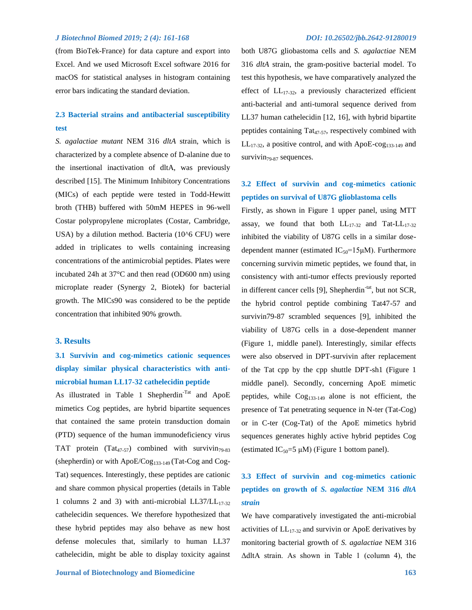(from BioTek-France) for data capture and export into Excel. And we used Microsoft Excel software 2016 for macOS for statistical analyses in histogram containing error bars indicating the standard deviation.

# **2.3 Bacterial strains and antibacterial susceptibility test**

*S. agalactiae mutant* NEM 316 *dltA* strain, which is characterized by a complete absence of D-alanine due to the insertional inactivation of dltA, was previously described [15]. The Minimum Inhibitory Concentrations (MICs) of each peptide were tested in Todd-Hewitt broth (THB) buffered with 50mM HEPES in 96-well Costar polypropylene microplates (Costar, Cambridge, USA) by a dilution method. Bacteria (10^6 CFU) were added in triplicates to wells containing increasing concentrations of the antimicrobial peptides. Plates were incubated 24h at 37°C and then read (OD600 nm) using microplate reader (Synergy 2, Biotek) for bacterial growth. The MICs90 was considered to be the peptide concentration that inhibited 90% growth.

#### **3. Results**

# **3.1 Survivin and cog-mimetics cationic sequences display similar physical characteristics with antimicrobial human LL17-32 cathelecidin peptide**

As illustrated in Table 1 Shepherdin<sup>-Tat</sup> and ApoE mimetics Cog peptides, are hybrid bipartite sequences that contained the same protein transduction domain (PTD) sequence of the human immunodeficiency virus TAT protein  $(Tat_{47-57})$  combined with survivin<sub>79-83</sub> (shepherdin) or with  $ApoE/Cog<sub>133-149</sub>$  (Tat-Cog and Cog-Tat) sequences. Interestingly, these peptides are cationic and share common physical properties (details in Table 1 columns 2 and 3) with anti-microbial  $LL37/LL_{17-32}$ cathelecidin sequences. We therefore hypothesized that these hybrid peptides may also behave as new host defense molecules that, similarly to human LL37 cathelecidin, might be able to display toxicity against both U87G gliobastoma cells and *S. agalactiae* NEM 316 *dltA* strain, the gram-positive bacterial model. To test this hypothesis, we have comparatively analyzed the effect of  $LL_{17-32}$ , a previously characterized efficient anti-bacterial and anti-tumoral sequence derived from LL37 human cathelecidin [12, 16], with hybrid bipartite peptides containing Tat<sub>47-57</sub>, respectively combined with  $LL_{17-32}$ , a positive control, and with ApoE-cog<sub>133-149</sub> and survivin $_{79-87}$  sequences.

# **3.2 Effect of survivin and cog-mimetics cationic peptides on survival of U87G glioblastoma cells**

Firstly, as shown in Figure 1 upper panel, using MTT assay, we found that both  $LL_{17-32}$  and Tat- $LL_{17-32}$ inhibited the viability of U87G cells in a similar dosedependent manner (estimated  $IC_{50}$ =15 $µ$ M). Furthermore concerning survivin mimetic peptides, we found that, in consistency with anti-tumor effects previously reported in different cancer cells  $[9]$ , Shepherdin<sup>-tat</sup>, but not SCR, the hybrid control peptide combining Tat47-57 and survivin79-87 scrambled sequences [9], inhibited the viability of U87G cells in a dose-dependent manner (Figure 1, middle panel). Interestingly, similar effects were also observed in DPT-survivin after replacement of the Tat cpp by the cpp shuttle DPT-sh1 (Figure 1 middle panel). Secondly, concerning ApoE mimetic peptides, while  $\text{Cog}_{133-149}$  alone is not efficient, the presence of Tat penetrating sequence in N-ter (Tat-Cog) or in C-ter (Cog-Tat) of the ApoE mimetics hybrid sequences generates highly active hybrid peptides Cog (estimated IC<sub>50</sub>=5  $\mu$ M) (Figure 1 bottom panel).

# **3.3 Effect of survivin and cog-mimetics cationic peptides on growth of** *S. agalactiae* **NEM 316** *dltA strain*

We have comparatively investigated the anti-microbial activities of  $LL_{17-32}$  and survivin or ApoE derivatives by monitoring bacterial growth of *S. agalactiae* NEM 316 ΔdltA strain. As shown in Table 1 (column 4), the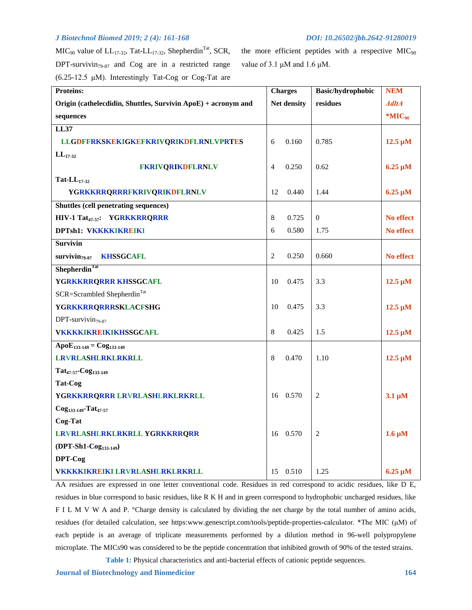$MIC<sub>90</sub>$  value of  $LL<sub>17-32</sub>$ , Tat- $LL<sub>17-32</sub>$ , Shepherdin<sup>Tat</sup>, SCR, DPT-survivin $_{79-87}$  and Cog are in a restricted range  $(6.25-12.5 \mu M)$ . Interestingly Tat-Cog or Cog-Tat are

the more efficient peptides with a respective  $MIC<sub>90</sub>$ value of 3.1 μM and 1.6 μM.

| <b>Proteins:</b>                                              | <b>Charges</b>          | <b>Basic/hydrophobic</b> | <b>NEM</b>   |
|---------------------------------------------------------------|-------------------------|--------------------------|--------------|
| Origin (cathelecdidin, Shuttles, Survivin ApoE) + acronym and | Net density             | residues                 | <b>AdltA</b> |
| sequences                                                     |                         |                          | $*MIC90$     |
| <b>LL37</b>                                                   |                         |                          |              |
| LLGDFFRKSKEKIGKEFKRIVQRIKDFLRNLVPRTES                         | 0.160<br>6              | 0.785                    | $12.5 \mu M$ |
| $LL_{17-32}$                                                  |                         |                          |              |
| <b>FKRIVORIKDFLRNLV</b>                                       | $\overline{4}$<br>0.250 | 0.62                     | $6.25 \mu M$ |
| Tat- $LL_{17-32}$                                             |                         |                          |              |
| <b>YGRKKRRQRRRFKRIVQRIKDFLRNLV</b>                            | 12<br>0.440             | 1.44                     | $6.25 \mu M$ |
| <b>Shuttles (cell penetrating sequences)</b>                  |                         |                          |              |
| HIV-1 Tat <sub>47-57</sub> : YGRKKRRQRRR                      | 0.725<br>8              | $\theta$                 | No effect    |
| <b>DPTsh1: VKKKKIKREIKI</b>                                   | 6<br>0.580              | 1.75                     | No effect    |
| <b>Survivin</b>                                               |                         |                          |              |
| <b>KHSSGCAFL</b><br>$survivin_{79.87}$                        | 2<br>0.250              | 0.660                    | No effect    |
| Shepherdin <sup>Tat</sup>                                     |                         |                          |              |
| YGRKKRRQRRR KHSSGCAFL                                         | 10<br>0.475             | 3.3                      | $12.5 \mu M$ |
| SCR=Scrambled Shepherdin <sup>Tat</sup>                       |                         |                          |              |
| <b>YGRKKRRQRRRSKLACFSHG</b>                                   | 10<br>0.475             | 3.3                      | $12.5 \mu M$ |
| DPT-survivin <sub>79-87</sub>                                 |                         |                          |              |
| <b>VKKKKIKREIKIKHSSGCAFL</b>                                  | 8<br>0.425              | 1.5                      | $12.5 \mu M$ |
| $ApoE_{133-149} = Cog_{133-149}$                              |                         |                          |              |
| <b>LRVRLASHLRKLRKRLL</b>                                      | 8<br>0.470              | 1.10                     | $12.5 \mu M$ |
| $Tat_{47-57}$ -Cog <sub>133-149</sub>                         |                         |                          |              |
| Tat-Cog                                                       |                         |                          |              |
| YGRKKRRQRRR LRVRLASHLRKLRKRLL                                 | 16<br>0.570             | 2                        | $3.1 \mu M$  |
| $Cog_{133-149}$ -Tat <sub>47-57</sub>                         |                         |                          |              |
| Cog-Tat                                                       |                         |                          |              |
| LRVRLASHLRKLRKRLL YGRKKRRQRR                                  | 0.570<br>16             | 2                        | $1.6 \mu M$  |
| (DPT-Sh1-Cog <sub>133-149</sub> )                             |                         |                          |              |
| DPT-Cog                                                       |                         |                          |              |
| <b>VKKKKIKREIKI LRVRLASHLRKLRKRLL</b>                         | 15 0.510                | 1.25                     | $6.25 \mu M$ |

AA residues are expressed in one letter conventional code. Residues in red correspond to acidic residues, like D E, residues in blue correspond to basic residues, like R K H and in green correspond to hydrophobic uncharged residues, like F I L M V W A and P. °Charge density is calculated by dividing the net charge by the total number of amino acids, residues (for detailed calculation, see https:www.genescript.com/tools/peptide-properties-calculator. \*The MIC (μM) of each peptide is an average of triplicate measurements performed by a dilution method in 96-well polypropylene microplate. The MICs90 was considered to be the peptide concentration that inhibited growth of 90% of the tested strains.

**Table 1:** Physical characteristics and anti-bacterial effects of cationic peptide sequences.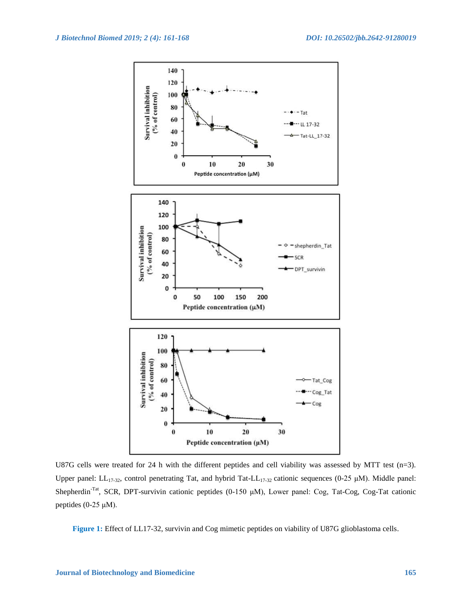

U87G cells were treated for 24 h with the different peptides and cell viability was assessed by MTT test (n=3). Upper panel: LL<sub>17-32</sub>, control penetrating Tat, and hybrid Tat-LL<sub>17-32</sub> cationic sequences (0-25 µM). Middle panel: Shepherdin-Tat, SCR, DPT-survivin cationic peptides (0-150 μM), Lower panel: Cog, Tat-Cog, Cog-Tat cationic peptides (0-25 μM).

**Figure 1:** Effect of LL17-32, survivin and Cog mimetic peptides on viability of U87G glioblastoma cells.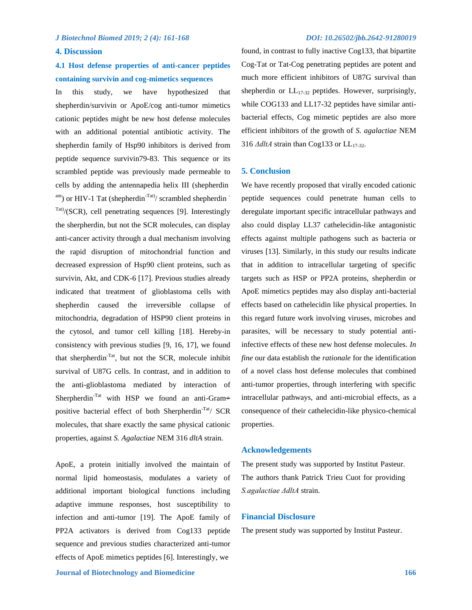#### **4. Discussion**

# **4.1 Host defense properties of anti-cancer peptides containing survivin and cog-mimetics sequences**

In this study, we have hypothesized that shepherdin/survivin or ApoE/cog anti-tumor mimetics cationic peptides might be new host defense molecules with an additional potential antibiotic activity. The shepherdin family of Hsp90 inhibitors is derived from peptide sequence survivin79-83. This sequence or its scrambled peptide was previously made permeable to cells by adding the antennapedia helix III (shepherdin ant) or HIV-1 Tat (shepherdin<sup>-Tat)</sup>/ scrambled shepherdin <sup>-</sup>  $\text{Tat}$ )/(SCR), cell penetrating sequences [9]. Interestingly the sherpherdin, but not the SCR molecules, can display anti-cancer activity through a dual mechanism involving the rapid disruption of mitochondrial function and decreased expression of Hsp90 client proteins, such as survivin, Akt, and CDK-6 [17]. Previous studies already indicated that treatment of glioblastoma cells with shepherdin caused the irreversible collapse of mitochondria, degradation of HSP90 client proteins in the cytosol, and tumor cell killing [18]. Hereby-in consistency with previous studies [9, 16, 17], we found that sherpherdin-Tat, but not the SCR, molecule inhibit survival of U87G cells. In contrast, and in addition to the anti-glioblastoma mediated by interaction of Sherpherdin<sup>-Tat</sup> with HSP we found an anti-Gram+ positive bacterial effect of both Sherpherdin<sup>-Tat</sup>/ SCR molecules, that share exactly the same physical cationic properties, against *S. Agalactiae* NEM 316 *dltA* strain.

ApoE, a protein initially involved the maintain of normal lipid homeostasis, modulates a variety of additional important biological functions including adaptive immune responses, host susceptibility to infection and anti-tumor [19]. The ApoE family of PP2A activators is derived from Cog133 peptide sequence and previous studies characterized anti-tumor effects of ApoE mimetics peptides [6]. Interestingly, we

found, in contrast to fully inactive Cog133, that bipartite Cog-Tat or Tat-Cog penetrating peptides are potent and much more efficient inhibitors of U87G survival than shepherdin or  $LL_{17-32}$  peptides. However, surprisingly, while COG133 and LL17-32 peptides have similar antibacterial effects, Cog mimetic peptides are also more efficient inhibitors of the growth of *S. agalactiae* NEM 316 *ΔdltA* strain than Cog133 or LL<sub>17-32</sub>.

## **5. Conclusion**

We have recently proposed that virally encoded cationic peptide sequences could penetrate human cells to deregulate important specific intracellular pathways and also could display LL37 cathelecidin-like antagonistic effects against multiple pathogens such as bacteria or viruses [13]. Similarly, in this study our results indicate that in addition to intracellular targeting of specific targets such as HSP or PP2A proteins, shepherdin or ApoE mimetics peptides may also display anti-bacterial effects based on cathelecidin like physical properties. In this regard future work involving viruses, microbes and parasites, will be necessary to study potential antiinfective effects of these new host defense molecules. *In fine* our data establish the *rationale* for the identification of a novel class host defense molecules that combined anti-tumor properties, through interfering with specific intracellular pathways, and anti-microbial effects, as a consequence of their cathelecidin-like physico-chemical properties.

## **Acknowledgements**

The present study was supported by Institut Pasteur. The authors thank Patrick Trieu Cuot for providing *S.agalactiae ΔdltA* strain.

# **Financial Disclosure**

The present study was supported by Institut Pasteur.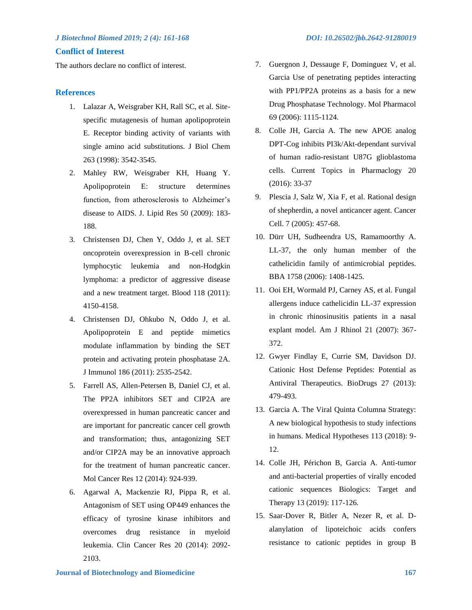# **Conflict of Interest**

The authors declare no conflict of interest.

# **References**

- 1. Lalazar A, Weisgraber KH, Rall SC, et al. Sitespecific mutagenesis of human apolipoprotein E. Receptor binding activity of variants with single amino acid substitutions. J Biol Chem 263 (1998): 3542-3545.
- 2. Mahley RW, Weisgraber KH, Huang Y. Apolipoprotein E: structure determines function, from atherosclerosis to Alzheimer's disease to AIDS. J. Lipid Res 50 (2009): 183- 188.
- 3. Christensen DJ, Chen Y, Oddo J, et al. SET oncoprotein overexpression in B-cell chronic lymphocytic leukemia and non-Hodgkin lymphoma: a predictor of aggressive disease and a new treatment target. Blood 118 (2011): 4150-4158.
- 4. Christensen DJ, Ohkubo N, Oddo J, et al. Apolipoprotein E and peptide mimetics modulate inflammation by binding the SET protein and activating protein phosphatase 2A. J Immunol 186 (2011): 2535-2542.
- 5. Farrell AS, Allen-Petersen B, Daniel CJ, et al. The PP2A inhibitors SET and CIP2A are overexpressed in human pancreatic cancer and are important for pancreatic cancer cell growth and transformation; thus, antagonizing SET and/or CIP2A may be an innovative approach for the treatment of human pancreatic cancer. Mol Cancer Res 12 (2014): 924-939.
- 6. Agarwal A, Mackenzie RJ, Pippa R, et al. Antagonism of SET using OP449 enhances the efficacy of tyrosine kinase inhibitors and overcomes drug resistance in myeloid leukemia. Clin Cancer Res 20 (2014): 2092- 2103.
- 7. Guergnon J, Dessauge F, Dominguez V, et al. Garcia Use of penetrating peptides interacting with PP1/PP2A proteins as a basis for a new Drug Phosphatase Technology. Mol Pharmacol 69 (2006): 1115-1124.
- 8. Colle JH, Garcia A. The new APOE analog DPT-Cog inhibits PI3k/Akt-dependant survival of human radio-resistant U87G glioblastoma cells. Current Topics in Pharmaclogy 20 (2016): 33-37
- 9. Plescia J, Salz W, Xia F, et al. Rational design of shepherdin, a novel anticancer agent. Cancer Cell. 7 (2005): 457-68.
- 10. Dürr UH, Sudheendra US, Ramamoorthy A. LL-37, the only human member of the cathelicidin family of antimicrobial peptides. BBA 1758 (2006): 1408-1425.
- 11. Ooi EH, Wormald PJ, Carney AS, et al. Fungal allergens induce cathelicidin LL-37 expression in chronic rhinosinusitis patients in a nasal explant model. Am J Rhinol 21 (2007): 367- 372.
- 12. Gwyer Findlay E, Currie SM, Davidson DJ. Cationic Host Defense Peptides: Potential as Antiviral Therapeutics. BioDrugs 27 (2013): 479-493.
- 13. Garcia A. The Viral Quinta Columna Strategy: A new biological hypothesis to study infections in humans. Medical Hypotheses 113 (2018): 9- 12.
- 14. Colle JH, Périchon B, Garcia A. Anti-tumor and anti-bacterial properties of virally encoded cationic sequences Biologics: Target and Therapy 13 (2019): 117-126.
- 15. Saar-Dover R, Bitler A, Nezer R, et al. Dalanylation of lipoteichoic acids confers resistance to cationic peptides in group B